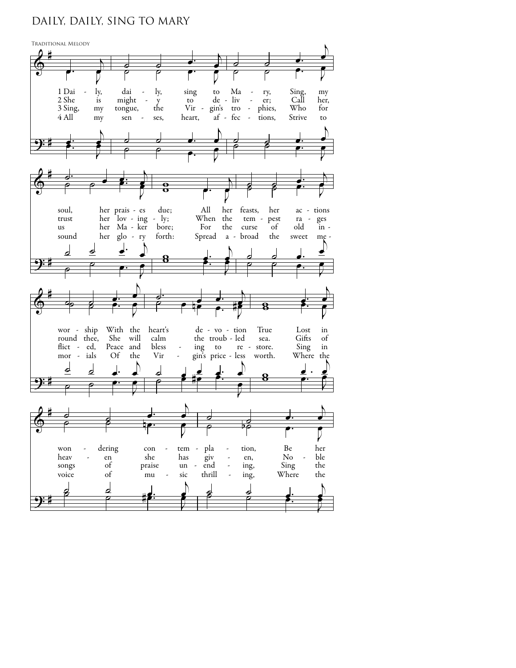## DAILY, DAILY, SING TO MARY